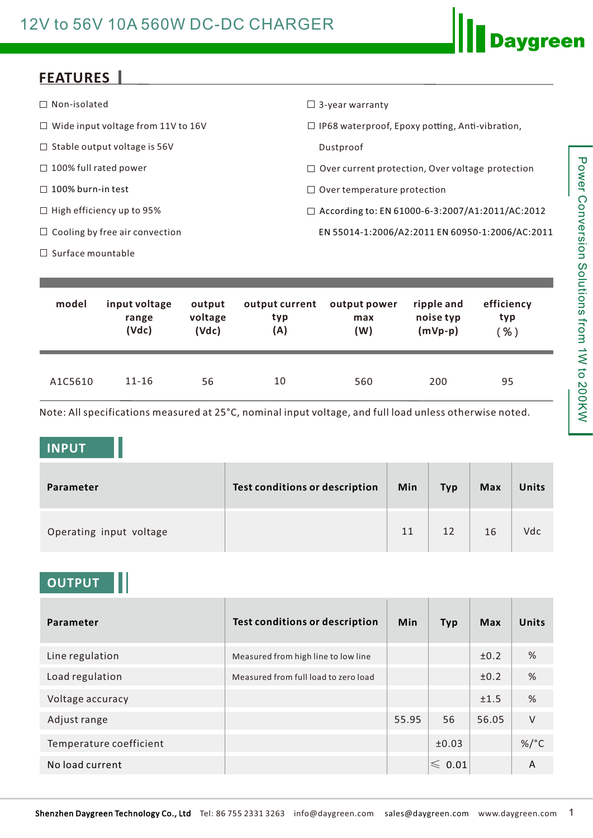### 12V to 56V 10A 560W DC-DC CHARGER

### **FEATURES**

| $\Box$ Non-isolated                       | $\Box$ 3-year warranty                                  |
|-------------------------------------------|---------------------------------------------------------|
| $\Box$ Wide input voltage from 11V to 16V | $\Box$ IP68 waterproof, Epoxy potting, Anti-vibration,  |
| $\Box$ Stable output voltage is 56V       | Dustproof                                               |
| $\Box$ 100% full rated power              | $\Box$ Over current protection, Over voltage protection |
| $\Box$ 100% burn-in test                  | $\Box$ Over temperature protection                      |
| $\Box$ High efficiency up to 95%          | $\Box$ According to: EN 61000-6-3:2007/A1:2011/AC:2012  |
| $\Box$ Cooling by free air convection     | EN 55014-1:2006/A2:2011 EN 60950-1:2006/AC:2011         |
| $\Box$ Surface mountable                  |                                                         |

| model   | input voltage | output  | output current | output power | ripple and | efficiency |
|---------|---------------|---------|----------------|--------------|------------|------------|
|         | range         | voltage | typ            | max          | noise typ  | typ        |
|         | (Vdc)         | (Vdc)   | (A)            | (W)          | $(mVp-p)$  | $%$ )      |
| A1C5610 | $11 - 16$     | 56      | 10             | 560          | 200        | 95         |

Note: All specifications measured at 25°C, nominal input voltage, and full load unless otherwise noted.

#### **INPUT**

| Parameter               | Test conditions or description | Min | <b>Typ</b> | <b>Max</b> | Units |
|-------------------------|--------------------------------|-----|------------|------------|-------|
| Operating input voltage |                                | 11  | 12         | 16         | Vdc   |

#### **OUTPUT**

| Parameter               | <b>Test conditions or description</b> | <b>Min</b> | <b>Typ</b>       | Max   | <b>Units</b> |
|-------------------------|---------------------------------------|------------|------------------|-------|--------------|
| Line regulation         | Measured from high line to low line   |            |                  | ±0.2  | %            |
| Load regulation         | Measured from full load to zero load  |            |                  | ±0.2  | %            |
| Voltage accuracy        |                                       |            |                  | ±1.5  | %            |
| Adjust range            |                                       | 55.95      | 56               | 56.05 | $\vee$       |
| Temperature coefficient |                                       |            | ±0.03            |       | $\%$ /°C     |
| No load current         |                                       |            | $\leqslant$ 0.01 |       | A            |

**Daygreen**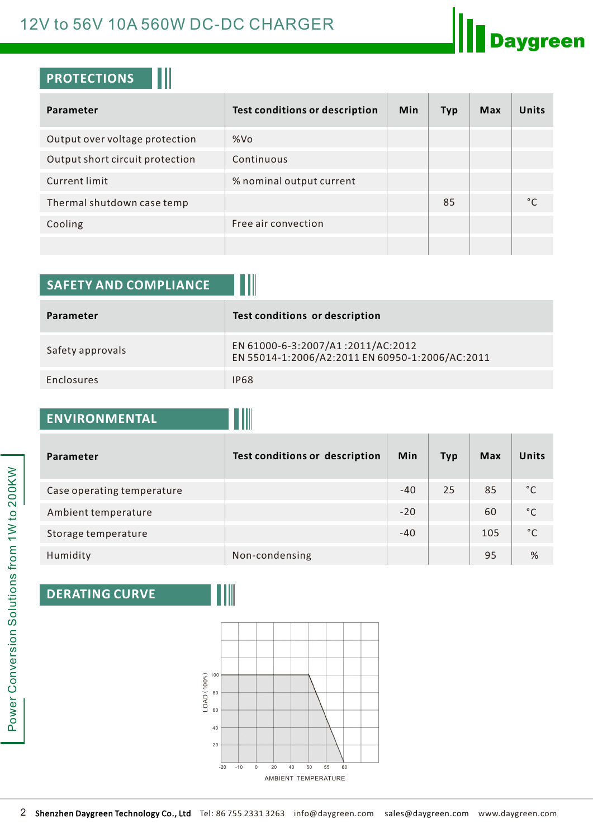### 12V to 56V 10A 560W DC-DC CHARGER



### **PROTECTIONS**

| Parameter                       | Test conditions or description | Min | Typ | Max | Units             |
|---------------------------------|--------------------------------|-----|-----|-----|-------------------|
| Output over voltage protection  | %Vo                            |     |     |     |                   |
| Output short circuit protection | Continuous                     |     |     |     |                   |
| <b>Current limit</b>            | % nominal output current       |     |     |     |                   |
| Thermal shutdown case temp      |                                |     | 85  |     | $^{\circ}$ $\sim$ |
| Cooling                         | Free air convection            |     |     |     |                   |
|                                 |                                |     |     |     |                   |

| <b>SAFETY AND COMPLIANCE</b> |                                                                                      |
|------------------------------|--------------------------------------------------------------------------------------|
| Parameter                    | Test conditions or description                                                       |
| Safety approvals             | EN 61000-6-3:2007/A1:2011/AC:2012<br>EN 55014-1:2006/A2:2011 EN 60950-1:2006/AC:2011 |
| Enclosures                   | <b>IP68</b>                                                                          |

# **ENVIRONMENTAL**

| <b>Parameter</b>           | Test conditions or description | <b>Min</b> | <b>Typ</b> | Max | <b>Units</b> |
|----------------------------|--------------------------------|------------|------------|-----|--------------|
| Case operating temperature |                                | $-40$      | 25         | 85  | °€           |
| Ambient temperature        |                                | $-20$      |            | 60  | °C           |
| Storage temperature        |                                | $-40$      |            | 105 | °C           |
| Humidity                   | Non-condensing                 |            |            | 95  | %            |

### **DERATING CURVE**



00KW